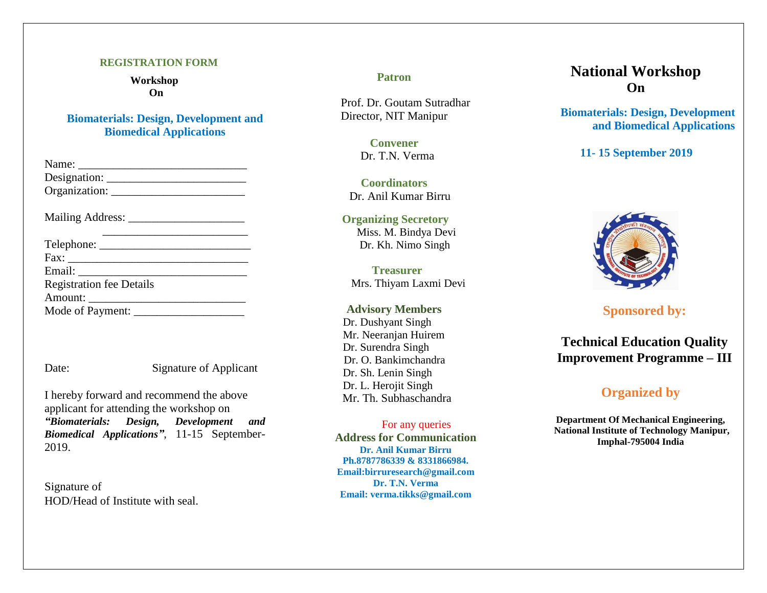#### **REGISTRATION FORM**

 **Workshop On**

**Biomaterials: Design, Development and Biomedical Applications**

| Name:         |  |
|---------------|--|
| Designation:  |  |
| Organization: |  |

Mailing Address: \_\_\_\_\_\_\_\_\_\_\_\_\_\_\_\_\_\_\_\_

| <b>Registration fee Details</b> |  |
|---------------------------------|--|
|                                 |  |
| Mode of Payment:                |  |

Date: Signature of Applicant

I hereby forward and recommend the above applicant for attending the workshop on *"Biomaterials: Design, Development and Biomedical Applications "*, 11 -15 September - 201 9 .

Signature of HOD/Head of Institute with seal. **Patron**

Prof. Dr. Goutam Sutradhar Director, NIT Manipur

> **Convener**  Dr. T.N. Verma

**Coordinator s** Dr. Anil Kumar Birru

**Organizing Secretory** Miss. M. Bindya Devi Dr. Kh. Nimo Singh

 **Treasurer** Mrs. Thiyam Laxmi Devi

**Advisory Members** Dr. Dushyant Singh Mr. Neeranjan Huirem Dr. Surendra Singh Dr. O. Bankimchandra Dr. Sh. Lenin Singh Dr. L. Herojit Singh Mr. Th. Subhaschandra

For any queries **Address for Communication Dr. Anil Kumar Birru Ph.8787786339 & 8331866984. Email:birruresearch@gmail.com Dr. T.N. Verma Email: verma.tikks@gmail.com** 

# **National Workshop On**

**Biomaterials: Design, Development and Biomedical Applications**

**11 - 15 September 2019**



**Sponsored by:**

**Technical Education Quality Improvement Programme – III**

# **Organized by**

**Depar tment Of Mechanical Engineering, National Institute of Technology Manipur, Imphal -795004 India**